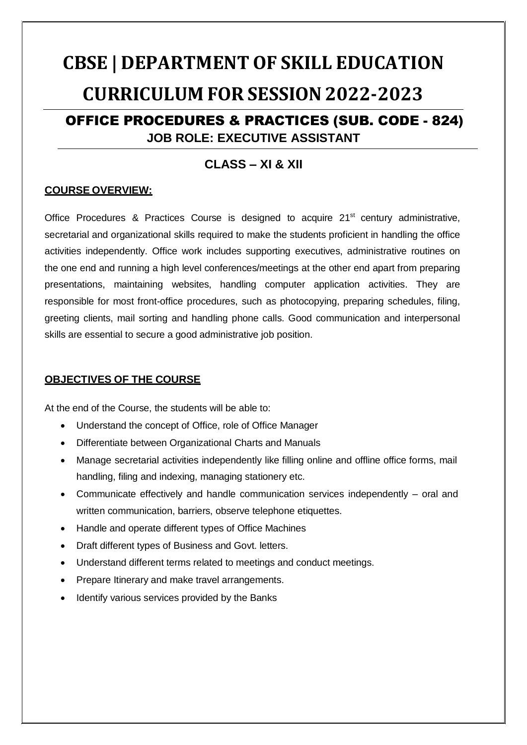# **CBSE | DEPARTMENT OF SKILL EDUCATION CURRICULUM FOR SESSION2022-2023**

# OFFICE PROCEDURES & PRACTICES (SUB. CODE - 824) **JOB ROLE: EXECUTIVE ASSISTANT**

# **CLASS – XI & XII**

# **COURSE OVERVIEW:**

Office Procedures & Practices Course is designed to acquire 21<sup>st</sup> century administrative, secretarial and organizational skills required to make the students proficient in handling the office activities independently. Office work includes supporting executives, administrative routines on the one end and running a high level conferences/meetings at the other end apart from preparing presentations, maintaining websites, handling computer application activities. They are responsible for most front-office procedures, such as photocopying, preparing schedules, filing, greeting clients, mail sorting and handling phone calls. Good communication and interpersonal skills are essential to secure a good administrative job position.

# **OBJECTIVES OF THE COURSE**

At the end of the Course, the students will be able to:

- Understand the concept of Office, role of Office Manager
- Differentiate between Organizational Charts and Manuals
- Manage secretarial activities independently like filling online and offline office forms, mail handling, filing and indexing, managing stationery etc.
- Communicate effectively and handle communication services independently oral and written communication, barriers, observe telephone etiquettes.
- Handle and operate different types of Office Machines
- Draft different types of Business and Govt. letters.
- Understand different terms related to meetings and conduct meetings.
- Prepare Itinerary and make travel arrangements.
- Identify various services provided by the Banks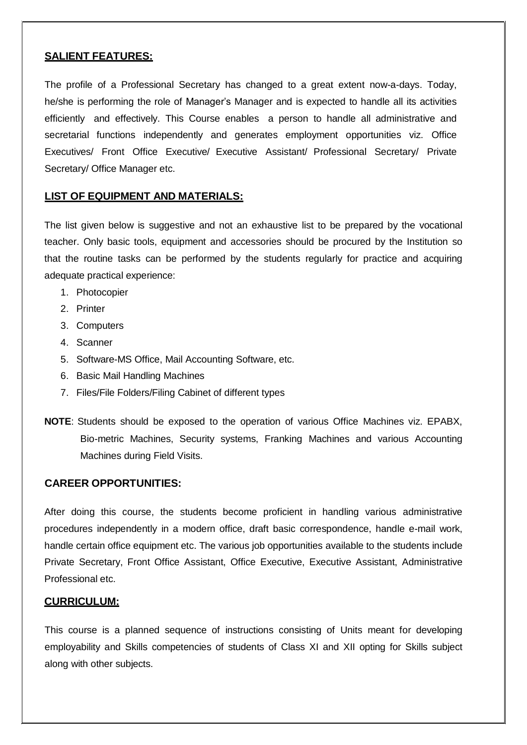# **SALIENT FEATURES:**

The profile of a Professional Secretary has changed to a great extent now-a-days. Today, he/she is performing the role of Manager's Manager and is expected to handle all its activities efficiently and effectively. This Course enables a person to handle all administrative and secretarial functions independently and generates employment opportunities viz. Office Executives/ Front Office Executive/ Executive Assistant/ Professional Secretary/ Private Secretary/ Office Manager etc.

# **LIST OF EQUIPMENT AND MATERIALS:**

The list given below is suggestive and not an exhaustive list to be prepared by the vocational teacher. Only basic tools, equipment and accessories should be procured by the Institution so that the routine tasks can be performed by the students regularly for practice and acquiring adequate practical experience:

- 1. Photocopier
- 2. Printer
- 3. Computers
- 4. Scanner
- 5. Software-MS Office, Mail Accounting Software, etc.
- 6. Basic Mail Handling Machines
- 7. Files/File Folders/Filing Cabinet of different types
- **NOTE**: Students should be exposed to the operation of various Office Machines viz. EPABX, Bio-metric Machines, Security systems, Franking Machines and various Accounting Machines during Field Visits.

### **CAREER OPPORTUNITIES:**

After doing this course, the students become proficient in handling various administrative procedures independently in a modern office, draft basic correspondence, handle e-mail work, handle certain office equipment etc. The various job opportunities available to the students include Private Secretary, Front Office Assistant, Office Executive, Executive Assistant, Administrative Professional etc.

### **CURRICULUM:**

This course is a planned sequence of instructions consisting of Units meant for developing employability and Skills competencies of students of Class XI and XII opting for Skills subject along with other subjects.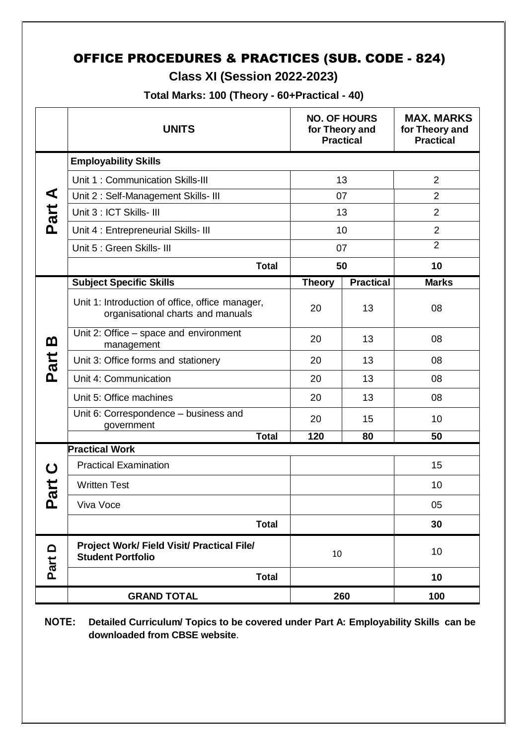# OFFICE PROCEDURES & PRACTICES (SUB. CODE - 824)

# **Class XI (Session 2022-2023)**

**Total Marks: 100 (Theory - 60+Practical - 40)**

|                  | <b>UNITS</b>                                                                         |               | <b>NO. OF HOURS</b><br>for Theory and<br><b>Practical</b> | <b>MAX. MARKS</b><br>for Theory and<br><b>Practical</b> |  |
|------------------|--------------------------------------------------------------------------------------|---------------|-----------------------------------------------------------|---------------------------------------------------------|--|
| ⋖<br>Part        | <b>Employability Skills</b>                                                          |               |                                                           |                                                         |  |
|                  | Unit 1: Communication Skills-III                                                     | 13            |                                                           | $\overline{2}$                                          |  |
|                  | Unit 2: Self-Management Skills- III                                                  | 07            |                                                           | $\overline{2}$                                          |  |
|                  | Unit 3 : ICT Skills- III                                                             | 13            |                                                           | $\overline{2}$                                          |  |
|                  | Unit 4 : Entrepreneurial Skills- III                                                 | 10            |                                                           | $\overline{2}$                                          |  |
|                  | Unit 5 : Green Skills- III                                                           | 07            |                                                           | $\overline{2}$                                          |  |
|                  | <b>Total</b>                                                                         | 50            |                                                           | 10                                                      |  |
|                  | <b>Subject Specific Skills</b>                                                       | <b>Theory</b> | <b>Practical</b>                                          | <b>Marks</b>                                            |  |
| <u>ന</u><br>Part | Unit 1: Introduction of office, office manager,<br>organisational charts and manuals | 20            | 13                                                        | 08                                                      |  |
|                  | Unit 2: Office – space and environment<br>management                                 | 20            | 13                                                        | 08                                                      |  |
|                  | Unit 3: Office forms and stationery                                                  | 20            | 13                                                        | 08                                                      |  |
|                  | Unit 4: Communication                                                                | 20            | 13                                                        | 08                                                      |  |
|                  | Unit 5: Office machines                                                              | 20            | 13                                                        | 08                                                      |  |
|                  | Unit 6: Correspondence - business and<br>government                                  | 20            | 15                                                        | 10                                                      |  |
|                  | <b>Total</b><br><b>Practical Work</b>                                                | 120           | 80                                                        | 50                                                      |  |
| ပ                | <b>Practical Examination</b>                                                         |               |                                                           | 15                                                      |  |
| art<br><u>ռ</u>  | <b>Written Test</b>                                                                  |               |                                                           | 10                                                      |  |
|                  | Viva Voce                                                                            |               |                                                           | 05                                                      |  |
|                  | <b>Total</b>                                                                         |               |                                                           | 30                                                      |  |
| $\Omega$<br>Part | Project Work/ Field Visit/ Practical File/<br><b>Student Portfolio</b>               | 10            |                                                           | 10                                                      |  |
|                  | <b>Total</b>                                                                         |               |                                                           | 10                                                      |  |
|                  | <b>GRAND TOTAL</b>                                                                   |               | 260                                                       | 100                                                     |  |

**NOTE: Detailed Curriculum/ Topics to be covered under Part A: Employability Skills can be downloaded from CBSE website**.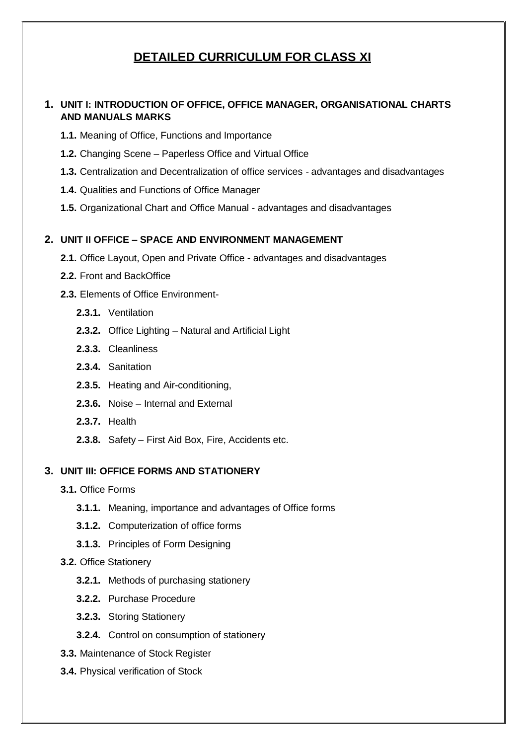# **DETAILED CURRICULUM FOR CLASS XI**

# **1. UNIT I: INTRODUCTION OF OFFICE, OFFICE MANAGER, ORGANISATIONAL CHARTS AND MANUALS MARKS**

- **1.1.** Meaning of Office, Functions and Importance
- **1.2.** Changing Scene Paperless Office and Virtual Office
- **1.3.** Centralization and Decentralization of office services advantages and disadvantages
- **1.4.** Qualities and Functions of Office Manager
- **1.5.** Organizational Chart and Office Manual advantages and disadvantages

### **2. UNIT II OFFICE – SPACE AND ENVIRONMENT MANAGEMENT**

- **2.1.** Office Layout, Open and Private Office advantages and disadvantages
- **2.2.** Front and BackOffice
- **2.3.** Elements of Office Environment-
	- **2.3.1.** Ventilation
	- **2.3.2.** Office Lighting Natural and Artificial Light
	- **2.3.3.** Cleanliness
	- **2.3.4.** Sanitation
	- **2.3.5.** Heating and Air-conditioning,
	- **2.3.6.** Noise Internal and External
	- **2.3.7.** Health
	- **2.3.8.** Safety First Aid Box, Fire, Accidents etc.

# **3. UNIT III: OFFICE FORMS AND STATIONERY**

- **3.1.** Office Forms
	- **3.1.1.** Meaning, importance and advantages of Office forms
	- **3.1.2.** Computerization of office forms
	- **3.1.3.** Principles of Form Designing
- **3.2.** Office Stationery
	- **3.2.1.** Methods of purchasing stationery
	- **3.2.2.** Purchase Procedure
	- **3.2.3.** Storing Stationery
	- **3.2.4.** Control on consumption of stationery
- **3.3.** Maintenance of Stock Register
- **3.4.** Physical verification of Stock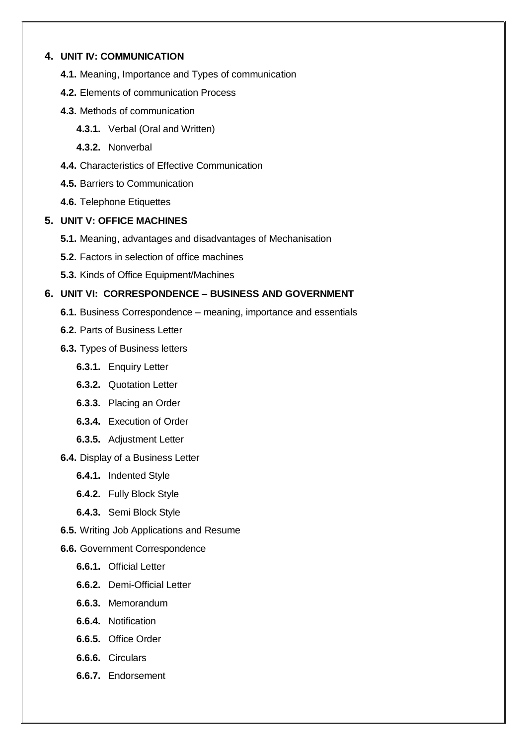### **4. UNIT IV: COMMUNICATION**

- **4.1.** Meaning, Importance and Types of communication
- **4.2.** Elements of communication Process
- **4.3.** Methods of communication
	- **4.3.1.** Verbal (Oral and Written)
	- **4.3.2.** Nonverbal
- **4.4.** Characteristics of Effective Communication
- **4.5.** Barriers to Communication
- **4.6.** Telephone Etiquettes

## **5. UNIT V: OFFICE MACHINES**

- **5.1.** Meaning, advantages and disadvantages of Mechanisation
- **5.2.** Factors in selection of office machines
- **5.3.** Kinds of Office Equipment/Machines

# **6. UNIT VI: CORRESPONDENCE – BUSINESS AND GOVERNMENT**

- **6.1.** Business Correspondence meaning, importance and essentials
- **6.2.** Parts of Business Letter
- **6.3.** Types of Business letters
	- **6.3.1.** Enquiry Letter
	- **6.3.2.** Quotation Letter
	- **6.3.3.** Placing an Order
	- **6.3.4.** Execution of Order
	- **6.3.5.** Adjustment Letter
- **6.4.** Display of a Business Letter
	- **6.4.1.** Indented Style
	- **6.4.2.** Fully Block Style
	- **6.4.3.** Semi Block Style
- **6.5.** Writing Job Applications and Resume
- **6.6.** Government Correspondence
	- **6.6.1.** Official Letter
	- **6.6.2.** Demi-Official Letter
	- **6.6.3.** Memorandum
	- **6.6.4.** Notification
	- **6.6.5.** Office Order
	- **6.6.6.** Circulars
	- **6.6.7.** Endorsement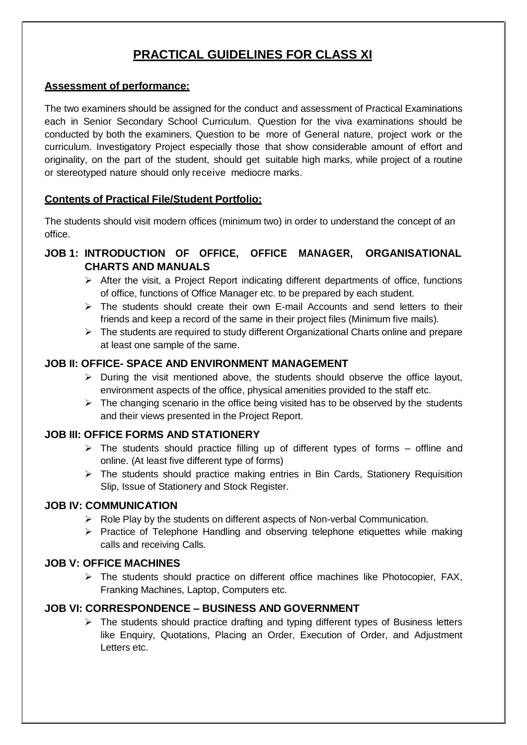# **PRACTICAL GUIDELINES FOR CLASS XI**

## **Assessment of performance:**

The two examiners should be assigned for the conduct and assessment of Practical Examinations each in Senior Secondary School Curriculum. Question for the viva examinations should be conducted by both the examiners. Question to be more of General nature, project work or the curriculum. Investigatory Project especially those that show considerable amount of effort and originality, on the part of the student, should get suitable high marks, while project of a routine or stereotyped nature should only receive mediocre marks.

# **Contents of Practical File/Student Portfolio:**

The students should visit modern offices (minimum two) in order to understand the concept of an office.

# **JOB 1: INTRODUCTION OF OFFICE, OFFICE MANAGER, ORGANISATIONAL CHARTS AND MANUALS**

- $\triangleright$  After the visit, a Project Report indicating different departments of office, functions of office, functions of Office Manager etc. to be prepared by each student.
- $\triangleright$  The students should create their own E-mail Accounts and send letters to their friends and keep a record of the same in their project files (Minimum five mails).
- $\triangleright$  The students are required to study different Organizational Charts online and prepare at least one sample of the same.

# **JOB II: OFFICE- SPACE AND ENVIRONMENT MANAGEMENT**

- $\triangleright$  During the visit mentioned above, the students should observe the office layout, environment aspects of the office, physical amenities provided to the staff etc.
- $\triangleright$  The changing scenario in the office being visited has to be observed by the students and their views presented in the Project Report.

# **JOB III: OFFICE FORMS AND STATIONERY**

- $\triangleright$  The students should practice filling up of different types of forms offline and online. (At least five different type of forms)
- $\triangleright$  The students should practice making entries in Bin Cards, Stationery Requisition Slip, Issue of Stationery and Stock Register.

# **JOB IV: COMMUNICATION**

- $\triangleright$  Role Play by the students on different aspects of Non-verbal Communication.
- $\triangleright$  Practice of Telephone Handling and observing telephone etiquettes while making calls and receiving Calls.

# **JOB V: OFFICE MACHINES**

 $\triangleright$  The students should practice on different office machines like Photocopier, FAX, Franking Machines, Laptop, Computers etc.

# **JOB VI: CORRESPONDENCE – BUSINESS AND GOVERNMENT**

 $\triangleright$  The students should practice drafting and typing different types of Business letters like Enquiry, Quotations, Placing an Order, Execution of Order, and Adjustment Letters etc.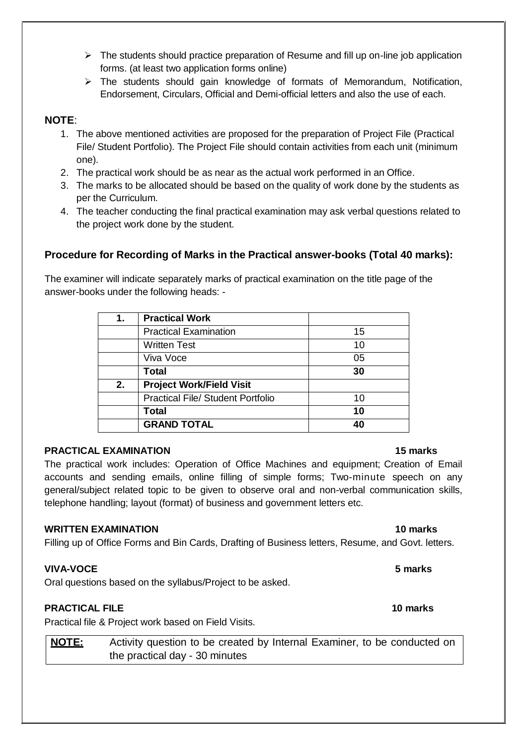- $\triangleright$  The students should practice preparation of Resume and fill up on-line job application forms. (at least two application forms online)
- $\triangleright$  The students should gain knowledge of formats of Memorandum, Notification, Endorsement, Circulars, Official and Demi-official letters and also the use of each.

# **NOTE**:

- 1. The above mentioned activities are proposed for the preparation of Project File (Practical File/ Student Portfolio). The Project File should contain activities from each unit (minimum one).
- 2. The practical work should be as near as the actual work performed in an Office.
- 3. The marks to be allocated should be based on the quality of work done by the students as per the Curriculum.
- 4. The teacher conducting the final practical examination may ask verbal questions related to the project work done by the student.

# **Procedure for Recording of Marks in the Practical answer-books (Total 40 marks):**

The examiner will indicate separately marks of practical examination on the title page of the answer-books under the following heads: -

| 1. | <b>Practical Work</b>                    |    |
|----|------------------------------------------|----|
|    | <b>Practical Examination</b>             | 15 |
|    | <b>Written Test</b>                      | 10 |
|    | Viva Voce                                | 05 |
|    | Total                                    | 30 |
| 2. | <b>Project Work/Field Visit</b>          |    |
|    | <b>Practical File/ Student Portfolio</b> | 10 |
|    | Total                                    | 10 |
|    | <b>GRAND TOTAL</b>                       | 40 |

# **PRACTICAL EXAMINATION 15 marks**

The practical work includes: Operation of Office Machines and equipment; Creation of Email accounts and sending emails, online filling of simple forms; Two-minute speech on any general/subject related topic to be given to observe oral and non-verbal communication skills, telephone handling; layout (format) of business and government letters etc.

# **WRITTEN EXAMINATION 10 marks**

Filling up of Office Forms and Bin Cards, Drafting of Business letters, Resume, and Govt. letters.

# **VIVA-VOCE 5 marks**

Oral questions based on the syllabus/Project to be asked.

# **PRACTICAL FILE 10 marks**

Practical file & Project work based on Field Visits.

**NOTE:** Activity question to be created by Internal Examiner, to be conducted on the practical day - 30 minutes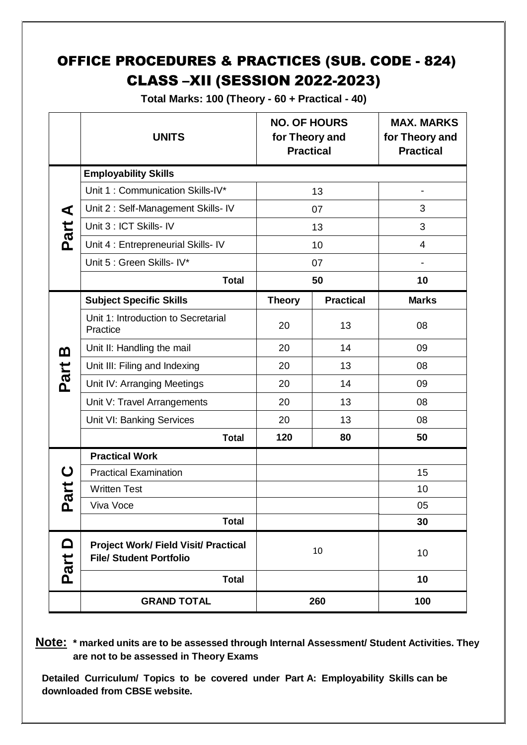# OFFICE PROCEDURES & PRACTICES (SUB. CODE - 824) CLASS –XII (SESSION 2022-2023)

**Total Marks: 100 (Theory - 60 + Practical - 40)**

|                        | <b>UNITS</b>                                                                  | <b>NO. OF HOURS</b><br>for Theory and<br><b>Practical</b> |                  | <b>MAX. MARKS</b><br>for Theory and<br><b>Practical</b> |  |
|------------------------|-------------------------------------------------------------------------------|-----------------------------------------------------------|------------------|---------------------------------------------------------|--|
|                        | <b>Employability Skills</b>                                                   |                                                           |                  |                                                         |  |
| ⋖                      | Unit 1: Communication Skills-IV*                                              | 13                                                        |                  |                                                         |  |
|                        | Unit 2: Self-Management Skills- IV                                            | 07                                                        |                  | 3                                                       |  |
| Part                   | Unit 3 : ICT Skills- IV                                                       | 13                                                        |                  | 3                                                       |  |
|                        | Unit 4 : Entrepreneurial Skills- IV                                           | 10                                                        |                  | $\overline{4}$                                          |  |
|                        | Unit 5 : Green Skills- IV*                                                    | 07                                                        |                  |                                                         |  |
|                        | <b>Total</b>                                                                  | 50                                                        |                  | 10                                                      |  |
|                        | <b>Subject Specific Skills</b>                                                | <b>Theory</b>                                             | <b>Practical</b> | <b>Marks</b>                                            |  |
|                        | Unit 1: Introduction to Secretarial<br>Practice                               | 20                                                        | 13               | 08                                                      |  |
| മ                      | Unit II: Handling the mail                                                    | 20                                                        | 14               | 09                                                      |  |
|                        | Unit III: Filing and Indexing                                                 | 20                                                        | 13               | 08                                                      |  |
| Part                   | Unit IV: Arranging Meetings                                                   | 20                                                        | 14               | 09                                                      |  |
|                        | Unit V: Travel Arrangements                                                   | 20                                                        | 13               | 08                                                      |  |
|                        | Unit VI: Banking Services                                                     | 20                                                        | 13               | 08                                                      |  |
|                        | <b>Total</b>                                                                  | 120                                                       | 80               | 50                                                      |  |
|                        | <b>Practical Work</b>                                                         |                                                           |                  |                                                         |  |
| ပ                      | <b>Practical Examination</b>                                                  |                                                           |                  | 15                                                      |  |
| art                    | <b>Written Test</b>                                                           |                                                           |                  | 10                                                      |  |
| <u>ռ</u>               | Viva Voce                                                                     |                                                           |                  | 05                                                      |  |
|                        | <b>Total</b>                                                                  |                                                           |                  | 30                                                      |  |
| $\blacksquare$<br>Part | <b>Project Work/ Field Visit/ Practical</b><br><b>File/ Student Portfolio</b> | 10                                                        |                  | 10                                                      |  |
|                        | <b>Total</b>                                                                  |                                                           |                  | 10                                                      |  |
|                        | <b>GRAND TOTAL</b>                                                            | 260                                                       |                  | 100                                                     |  |

**Note: \* marked units are to be assessed through Internal Assessment/ Student Activities. They are not to be assessed in Theory Exams** 

**Detailed Curriculum/ Topics to be covered under Part A: Employability Skills can be downloaded from CBSE website.**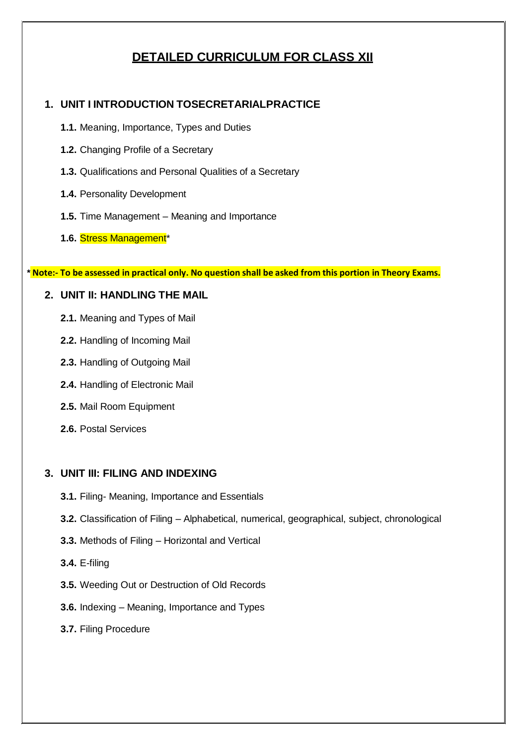# **DETAILED CURRICULUM FOR CLASS XII**

# **1. UNIT I INTRODUCTION TOSECRETARIALPRACTICE**

- **1.1.** Meaning, Importance, Types and Duties
- **1.2.** Changing Profile of a Secretary
- **1.3.** Qualifications and Personal Qualities of a Secretary
- **1.4.** Personality Development
- **1.5.** Time Management Meaning and Importance
- **1.6.** Stress Management\*

\*Note:- To be assessed in practical only. No question shall be asked from this portion in Theory Exams.

# **2. UNIT II: HANDLING THE MAIL**

- **2.1.** Meaning and Types of Mail
- **2.2.** Handling of Incoming Mail
- **2.3.** Handling of Outgoing Mail
- **2.4.** Handling of Electronic Mail
- **2.5.** Mail Room Equipment
- **2.6.** Postal Services

# **3. UNIT III: FILING AND INDEXING**

- **3.1.** Filing- Meaning, Importance and Essentials
- **3.2.** Classification of Filing Alphabetical, numerical, geographical, subject, chronological
- **3.3.** Methods of Filing Horizontal and Vertical
- **3.4.** E-filing
- **3.5.** Weeding Out or Destruction of Old Records
- **3.6.** Indexing Meaning, Importance and Types
- **3.7.** Filing Procedure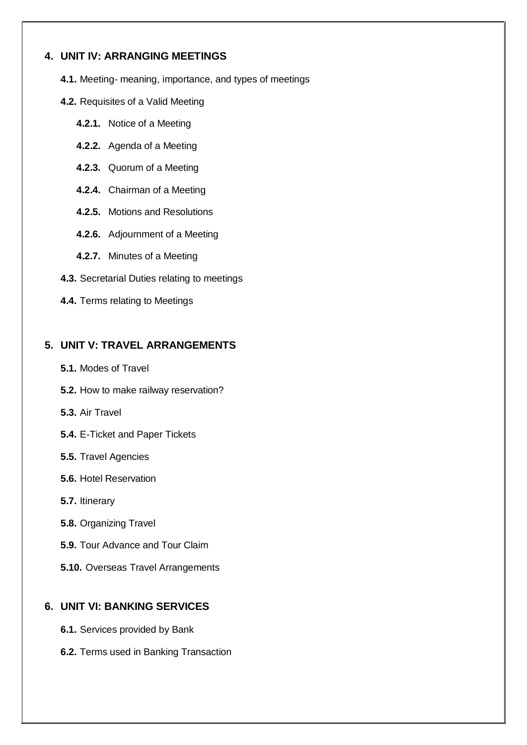# **4. UNIT IV: ARRANGING MEETINGS**

**4.1.** Meeting- meaning, importance, and types of meetings

- **4.2.** Requisites of a Valid Meeting
	- **4.2.1.** Notice of a Meeting
	- **4.2.2.** Agenda of a Meeting
	- **4.2.3.** Quorum of a Meeting
	- **4.2.4.** Chairman of a Meeting
	- **4.2.5.** Motions and Resolutions
	- **4.2.6.** Adjournment of a Meeting
	- **4.2.7.** Minutes of a Meeting
- **4.3.** Secretarial Duties relating to meetings
- **4.4.** Terms relating to Meetings

# **5. UNIT V: TRAVEL ARRANGEMENTS**

- **5.1.** Modes of Travel
- **5.2.** How to make railway reservation?
- **5.3.** Air Travel
- **5.4.** E-Ticket and Paper Tickets
- **5.5.** Travel Agencies
- **5.6.** Hotel Reservation
- **5.7.** Itinerary
- **5.8.** Organizing Travel
- **5.9.** Tour Advance and Tour Claim
- **5.10.** Overseas Travel Arrangements

# **6. UNIT VI: BANKING SERVICES**

- **6.1.** Services provided by Bank
- **6.2.** Terms used in Banking Transaction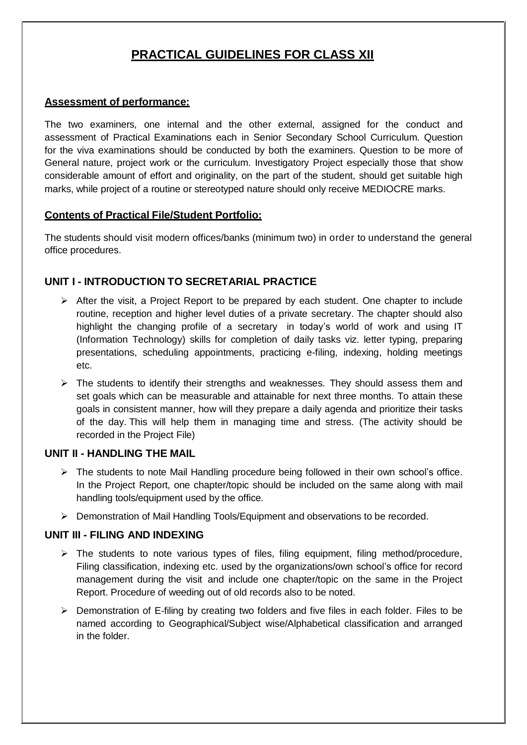# **PRACTICAL GUIDELINES FOR CLASS XII**

## **Assessment of performance:**

The two examiners, one internal and the other external, assigned for the conduct and assessment of Practical Examinations each in Senior Secondary School Curriculum. Question for the viva examinations should be conducted by both the examiners. Question to be more of General nature, project work or the curriculum. Investigatory Project especially those that show considerable amount of effort and originality, on the part of the student, should get suitable high marks, while project of a routine or stereotyped nature should only receive MEDIOCRE marks.

# **Contents of Practical File/Student Portfolio:**

The students should visit modern offices/banks (minimum two) in order to understand the general office procedures.

# **UNIT I - INTRODUCTION TO SECRETARIAL PRACTICE**

- $\triangleright$  After the visit, a Project Report to be prepared by each student. One chapter to include routine, reception and higher level duties of a private secretary. The chapter should also highlight the changing profile of a secretary in today's world of work and using IT (Information Technology) skills for completion of daily tasks viz. letter typing, preparing presentations, scheduling appointments, practicing e-filing, indexing, holding meetings etc.
- $\triangleright$  The students to identify their strengths and weaknesses. They should assess them and set goals which can be measurable and attainable for next three months. To attain these goals in consistent manner, how will they prepare a daily agenda and prioritize their tasks of the day. This will help them in managing time and stress. (The activity should be recorded in the Project File)

# **UNIT II - HANDLING THE MAIL**

- $\triangleright$  The students to note Mail Handling procedure being followed in their own school's office. In the Project Report, one chapter/topic should be included on the same along with mail handling tools/equipment used by the office.
- $\triangleright$  Demonstration of Mail Handling Tools/Equipment and observations to be recorded.

# **UNIT III - FILING AND INDEXING**

- $\triangleright$  The students to note various types of files, filing equipment, filing method/procedure, Filing classification, indexing etc. used by the organizations/own school's office for record management during the visit and include one chapter/topic on the same in the Project Report. Procedure of weeding out of old records also to be noted.
- $\triangleright$  Demonstration of E-filing by creating two folders and five files in each folder. Files to be named according to Geographical/Subject wise/Alphabetical classification and arranged in the folder.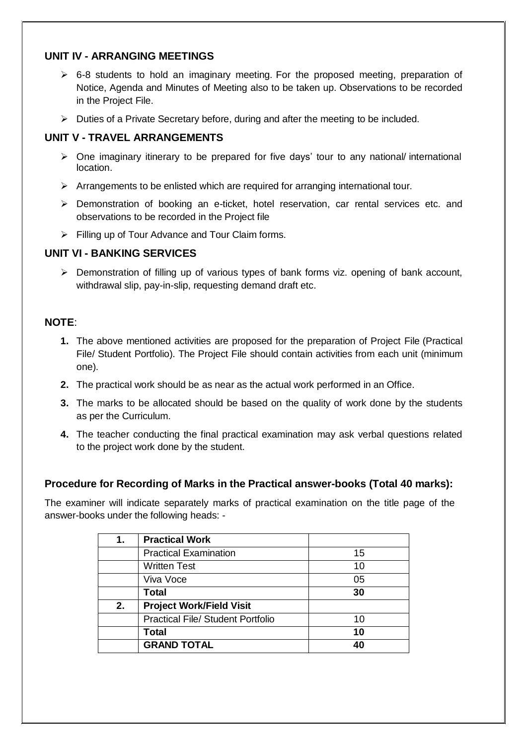# **UNIT IV - ARRANGING MEETINGS**

- $\geq$  6-8 students to hold an imaginary meeting. For the proposed meeting, preparation of Notice, Agenda and Minutes of Meeting also to be taken up. Observations to be recorded in the Project File.
- $\triangleright$  Duties of a Private Secretary before, during and after the meeting to be included.

# **UNIT V - TRAVEL ARRANGEMENTS**

- $\triangleright$  One imaginary itinerary to be prepared for five days' tour to any national/international location.
- $\triangleright$  Arrangements to be enlisted which are required for arranging international tour.
- Demonstration of booking an e-ticket, hotel reservation, car rental services etc. and observations to be recorded in the Project file
- $\triangleright$  Filling up of Tour Advance and Tour Claim forms.

# **UNIT VI - BANKING SERVICES**

 $\triangleright$  Demonstration of filling up of various types of bank forms viz. opening of bank account, withdrawal slip, pay-in-slip, requesting demand draft etc.

# **NOTE**:

- **1.** The above mentioned activities are proposed for the preparation of Project File (Practical File/ Student Portfolio). The Project File should contain activities from each unit (minimum one).
- **2.** The practical work should be as near as the actual work performed in an Office.
- **3.** The marks to be allocated should be based on the quality of work done by the students as per the Curriculum.
- **4.** The teacher conducting the final practical examination may ask verbal questions related to the project work done by the student.

# **Procedure for Recording of Marks in the Practical answer-books (Total 40 marks):**

The examiner will indicate separately marks of practical examination on the title page of the answer-books under the following heads: -

| 1. | <b>Practical Work</b>                    |    |
|----|------------------------------------------|----|
|    | <b>Practical Examination</b>             | 15 |
|    | <b>Written Test</b>                      | 10 |
|    | Viva Voce                                | 05 |
|    | <b>Total</b>                             | 30 |
| 2. | <b>Project Work/Field Visit</b>          |    |
|    | <b>Practical File/ Student Portfolio</b> | 10 |
|    | <b>Total</b>                             | 10 |
|    | <b>GRAND TOTAL</b>                       | 40 |